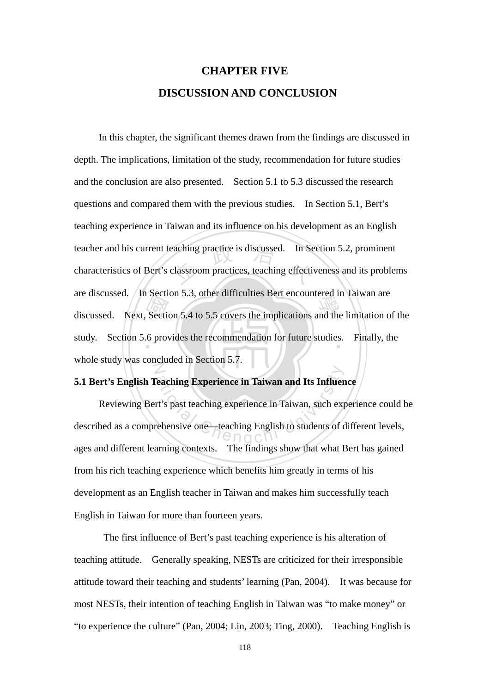# **CHAPTER FIVE DISCUSSION AND CONCLUSION**

discussed. Next, Section 5.4 to 5.5 covers the implications and the limitation of the study. Section 5.6 provides the recommendation for future studies. Finally, the eaching practice is discussed. In Sections 1.1 Contains the classroom practices, teaching effectively study. Section 5.6 provides the recommendation for future studies. Finally, the N In this chapter, the significant themes drawn from the findings are discussed in depth. The implications, limitation of the study, recommendation for future studies and the conclusion are also presented. Section 5.1 to 5.3 discussed the research questions and compared them with the previous studies. In Section 5.1, Bert's teaching experience in Taiwan and its influence on his development as an English teacher and his current teaching practice is discussed. In Section 5.2, prominent characteristics of Bert's classroom practices, teaching effectiveness and its problems are discussed. In Section 5.3, other difficulties Bert encountered in Taiwan are whole study was concluded in Section 5.7.

#### **5.1 Bert's English Teaching Experience in Taiwan and Its Influence**

Experience in Taiwan and Its Influence<br>
rt's past teaching experience in Taiwan, such experiencies<br>
rehensive one—teaching English to students of o Reviewing Bert's past teaching experience in Taiwan, such experience could be described as a comprehensive one—teaching English to students of different levels, ages and different learning contexts. The findings show that what Bert has gained from his rich teaching experience which benefits him greatly in terms of his development as an English teacher in Taiwan and makes him successfully teach English in Taiwan for more than fourteen years.

The first influence of Bert's past teaching experience is his alteration of teaching attitude. Generally speaking, NESTs are criticized for their irresponsible attitude toward their teaching and students' learning (Pan, 2004). It was because for most NESTs, their intention of teaching English in Taiwan was "to make money" or "to experience the culture" (Pan, 2004; Lin, 2003; Ting, 2000). Teaching English is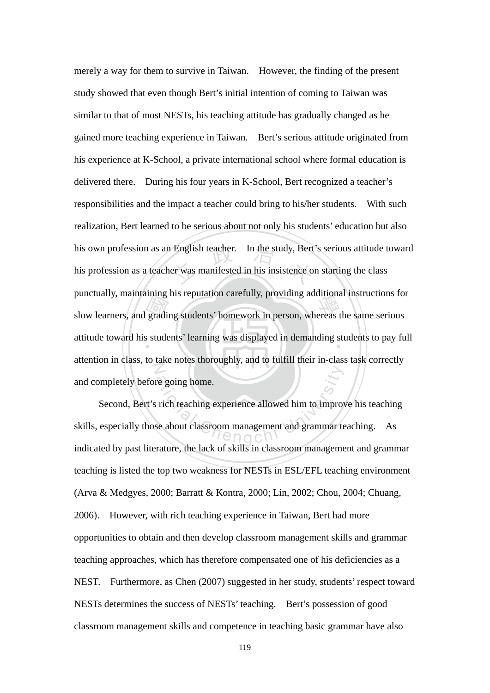Bunctuany, maintaining ins reputation carefully, providing additional instructions for<br>slow learners, and grading students' homework in person, whereas the same serious<br>attitude toward his students' learning was displayed his own profession as an English teacher. In the study, Bert's serious attitude toward<br>his profession as a teacher was manifested in his insistence on starting the class attitude toward his students' learning was displayed in demanding students to pay full  $\overline{Z}$ merely a way for them to survive in Taiwan. However, the finding of the present study showed that even though Bert's initial intention of coming to Taiwan was similar to that of most NESTs, his teaching attitude has gradually changed as he gained more teaching experience in Taiwan. Bert's serious attitude originated from his experience at K-School, a private international school where formal education is delivered there. During his four years in K-School, Bert recognized a teacher's responsibilities and the impact a teacher could bring to his/her students. With such realization, Bert learned to be serious about not only his students' education but also his profession as a teacher was manifested in his insistence on starting the class punctually, maintaining his reputation carefully, providing additional instructions for attention in class, to take notes thoroughly, and to fulfill their in-class task correctly and completely before going home.

re going home. Second, Bert's rich teaching experience allowed him to improve his teaching skills, especially those about classroom management and grammar teaching. As indicated by past literature, the lack of skills in classroom management and grammar teaching is listed the top two weakness for NESTs in ESL/EFL teaching environment (Arva & Medgyes, 2000; Barratt & Kontra, 2000; Lin, 2002; Chou, 2004; Chuang, 2006). However, with rich teaching experience in Taiwan, Bert had more opportunities to obtain and then develop classroom management skills and grammar teaching approaches, which has therefore compensated one of his deficiencies as a NEST. Furthermore, as Chen (2007) suggested in her study, students' respect toward NESTs determines the success of NESTs' teaching. Bert's possession of good classroom management skills and competence in teaching basic grammar have also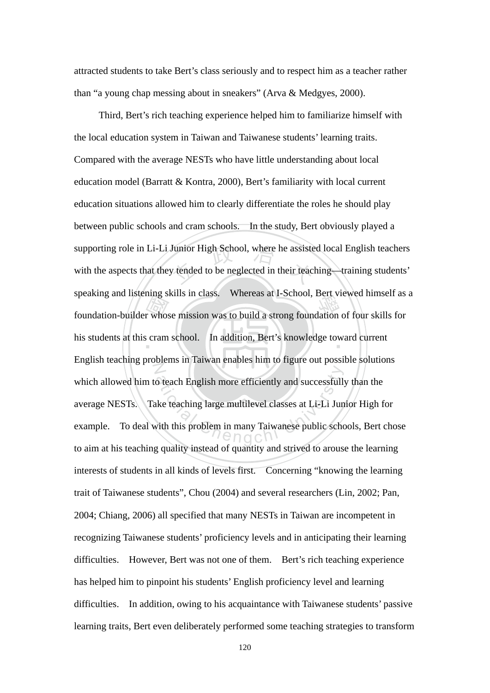attracted students to take Bert's class seriously and to respect him as a teacher rather than "a young chap messing about in sneakers" (Arva & Medgyes, 2000).

 $\frac{1}{2}$   $\frac{1}{2}$   $\frac{1}{2}$   $\frac{1}{2}$   $\frac{1}{2}$   $\frac{1}{2}$   $\frac{1}{2}$   $\frac{1}{2}$   $\frac{1}{2}$   $\frac{1}{2}$   $\frac{1}{2}$   $\frac{1}{2}$   $\frac{1}{2}$   $\frac{1}{2}$   $\frac{1}{2}$   $\frac{1}{2}$   $\frac{1}{2}$   $\frac{1}{2}$   $\frac{1}{2}$   $\frac{1}{2}$   $\frac{1}{2}$   $\frac{1}{2}$  supporting role in Li-Li Junior High School, where he assisted local English teachers<br>with the aspects that they tended to be neglected in their teaching—training students' speaking and instering skins in class. Whereas at 1-School, Bert viewed infinsent as<br>foundation-builder whose mission was to build a strong foundation of four skills for his students at this cram school. In addition, Bert's knowledge toward current N o teach English more efficiently and successfull<br>ke teaching large multilevel classes at Li-Li Jun<br>with this problem in many Taiwanese public scho Third, Bert's rich teaching experience helped him to familiarize himself with the local education system in Taiwan and Taiwanese students' learning traits. Compared with the average NESTs who have little understanding about local education model (Barratt & Kontra, 2000), Bert's familiarity with local current education situations allowed him to clearly differentiate the roles he should play between public schools and cram schools. In the study, Bert obviously played a with the aspects that they tended to be neglected in their teaching—training students' speaking and listening skills in class. Whereas at I-School, Bert viewed himself as a English teaching problems in Taiwan enables him to figure out possible solutions which allowed him to teach English more efficiently and successfully than the average NESTs. Take teaching large multilevel classes at Li-Li Junior High for example. To deal with this problem in many Taiwanese public schools, Bert chose to aim at his teaching quality instead of quantity and strived to arouse the learning interests of students in all kinds of levels first. Concerning "knowing the learning trait of Taiwanese students", Chou (2004) and several researchers (Lin, 2002; Pan, 2004; Chiang, 2006) all specified that many NESTs in Taiwan are incompetent in recognizing Taiwanese students' proficiency levels and in anticipating their learning difficulties. However, Bert was not one of them. Bert's rich teaching experience has helped him to pinpoint his students' English proficiency level and learning difficulties. In addition, owing to his acquaintance with Taiwanese students' passive learning traits, Bert even deliberately performed some teaching strategies to transform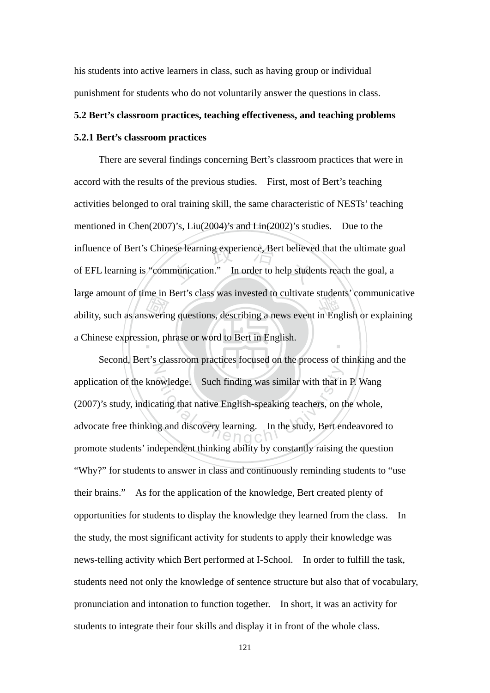his students into active learners in class, such as having group or individual punishment for students who do not voluntarily answer the questions in class.

#### **5.2 Bert's classroom practices, teaching effectiveness, and teaching problems**

#### **5.2.1 Bert's classroom practices**

ability, such as answering questions, describing a news event in English or explaining<br>a Chinese expression, phrase or word to Bert in English. influence of Bert's Chinese learning experience, Bert believed that the ultimate goal<br>of EFL learning is "communication." In order to help students reach the goal, a ‧ There are several findings concerning Bert's classroom practices that were in accord with the results of the previous studies. First, most of Bert's teaching activities belonged to oral training skill, the same characteristic of NESTs' teaching mentioned in Chen(2007)'s, Liu(2004)'s and Lin(2002)'s studies. Due to the of EFL learning is "communication." In order to help students reach the goal, a large amount of time in Bert's class was invested to cultivate students' communicative a Chinese expression, phrase or word to Bert in English.

Z Example 2. Such finding was similar with that in a<br>ting that native English-speaking teachers, on the study, Bert errors<br>in the study, Bert errors of  $\Theta \cap \Theta$  C Second, Bert's classroom practices focused on the process of thinking and the application of the knowledge. Such finding was similar with that in P. Wang (2007)'s study, indicating that native English-speaking teachers, on the whole, advocate free thinking and discovery learning. In the study, Bert endeavored to promote students' independent thinking ability by constantly raising the question "Why?" for students to answer in class and continuously reminding students to "use their brains." As for the application of the knowledge, Bert created plenty of opportunities for students to display the knowledge they learned from the class. In the study, the most significant activity for students to apply their knowledge was news-telling activity which Bert performed at I-School. In order to fulfill the task, students need not only the knowledge of sentence structure but also that of vocabulary, pronunciation and intonation to function together. In short, it was an activity for students to integrate their four skills and display it in front of the whole class.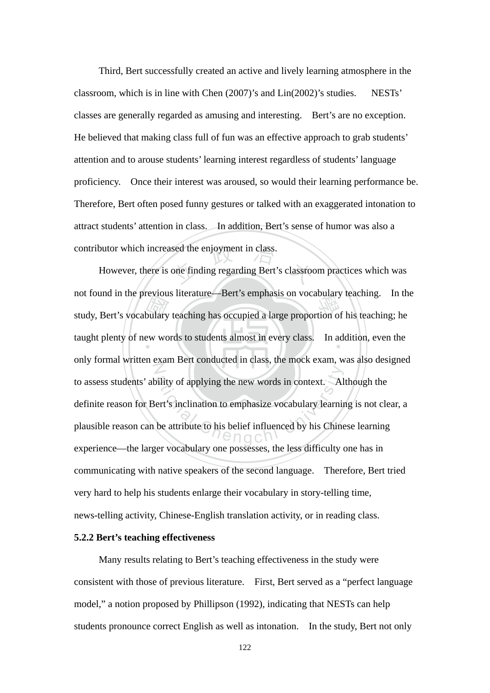Third, Bert successfully created an active and lively learning atmosphere in the classroom, which is in line with Chen (2007)'s and Lin(2002)'s studies. NESTs' classes are generally regarded as amusing and interesting. Bert's are no exception. He believed that making class full of fun was an effective approach to grab students' attention and to arouse students' learning interest regardless of students' language proficiency. Once their interest was aroused, so would their learning performance be. Therefore, Bert often posed funny gestures or talked with an exaggerated intonation to attract students' attention in class. In addition, Bert's sense of humor was also a contributor which increased the enjoyment in class.

bulary<br>bulary<br>aw wo sed the enjoyment in class.<br>one finding regarding Bert's classroot hot found in the previous inerature—bert's emphasis on vocabulary teaching. In the<br>study, Bert's vocabulary teaching has occupied a large proportion of his teaching; he taught plenty of new words to students almost in every class. In addition, even the N bility of applying the new words in context. All<br>ert's inclination to emphasize vocabulary learning<br>be attribute to his belief influenced by his Chine However, there is one finding regarding Bert's classroom practices which was not found in the previous literature—Bert's emphasis on vocabulary teaching. In the only formal written exam Bert conducted in class, the mock exam, was also designed to assess students' ability of applying the new words in context. Although the definite reason for Bert's inclination to emphasize vocabulary learning is not clear, a plausible reason can be attribute to his belief influenced by his Chinese learning experience—the larger vocabulary one possesses, the less difficulty one has in communicating with native speakers of the second language. Therefore, Bert tried very hard to help his students enlarge their vocabulary in story-telling time, news-telling activity, Chinese-English translation activity, or in reading class.

#### **5.2.2 Bert's teaching effectiveness**

 Many results relating to Bert's teaching effectiveness in the study were consistent with those of previous literature. First, Bert served as a "perfect language model," a notion proposed by Phillipson (1992), indicating that NESTs can help students pronounce correct English as well as intonation. In the study, Bert not only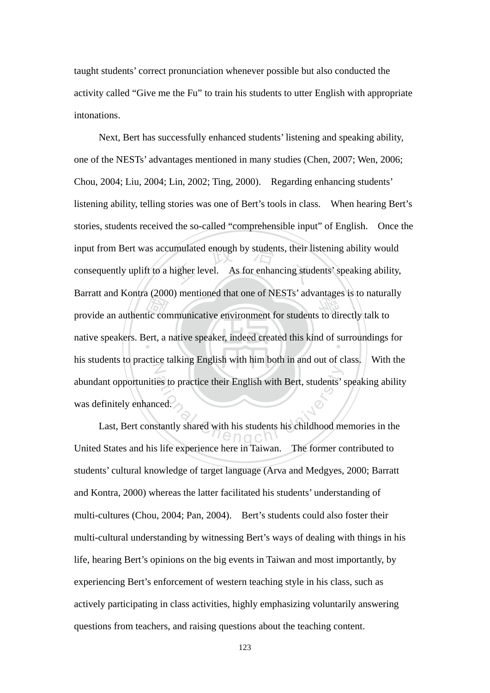taught students' correct pronunciation whenever possible but also conducted the activity called "Give me the Fu" to train his students to utter English with appropriate intonations.

Bariat and Rohira (2000) hieldoned that one of NESTS advantages is to hatural<br>provide an authentic communicative environment for students to directly talk to<br>native speakers. Bert, a native speaker, indeed created this kin input from Bert was accumulated enough by students, their listening ability would<br>consequently uplift to a higher level. As for enhancing students' speaking ability, native speakers. Bert, a native speaker, indeed created this kind of surroundings for N res to practice their English with Bert, students's<br>ced.<br>stantly shared with his students his childhood me Next, Bert has successfully enhanced students' listening and speaking ability, one of the NESTs' advantages mentioned in many studies (Chen, 2007; Wen, 2006; Chou, 2004; Liu, 2004; Lin, 2002; Ting, 2000). Regarding enhancing students' listening ability, telling stories was one of Bert's tools in class. When hearing Bert's stories, students received the so-called "comprehensible input" of English. Once the consequently uplift to a higher level. As for enhancing students' speaking ability, Barratt and Kontra (2000) mentioned that one of NESTs' advantages is to naturally his students to practice talking English with him both in and out of class. With the abundant opportunities to practice their English with Bert, students' speaking ability was definitely enhanced.

Last, Bert constantly shared with his students his childhood memories in the United States and his life experience here in Taiwan. The former contributed to students' cultural knowledge of target language (Arva and Medgyes, 2000; Barratt and Kontra, 2000) whereas the latter facilitated his students' understanding of multi-cultures (Chou, 2004; Pan, 2004). Bert's students could also foster their multi-cultural understanding by witnessing Bert's ways of dealing with things in his life, hearing Bert's opinions on the big events in Taiwan and most importantly, by experiencing Bert's enforcement of western teaching style in his class, such as actively participating in class activities, highly emphasizing voluntarily answering questions from teachers, and raising questions about the teaching content.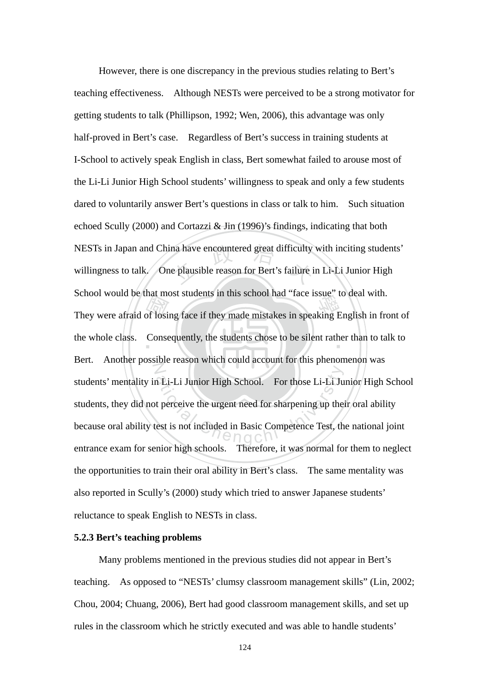They were afraid of losing face if they made mistakes in speaking English in front of the whole class. Consequently, the students chose to be silent rather than to talk to NESTs in Japan and China have encountered great difficulty with inciting students'<br>willingness to talk. One plausible reason for Bert's failure in Li-Li Junior High the whole class. Consequently, the students chose to be silent rather than to talk to N a Li-Li Junior High School. For those Li-Li Ju<br>t perceive the urgent need for sharpening up the<br>est is not included in Basic Competence Test, the However, there is one discrepancy in the previous studies relating to Bert's teaching effectiveness. Although NESTs were perceived to be a strong motivator for getting students to talk (Phillipson, 1992; Wen, 2006), this advantage was only half-proved in Bert's case. Regardless of Bert's success in training students at I-School to actively speak English in class, Bert somewhat failed to arouse most of the Li-Li Junior High School students' willingness to speak and only a few students dared to voluntarily answer Bert's questions in class or talk to him. Such situation echoed Scully (2000) and Cortazzi & Jin (1996)'s findings, indicating that both willingness to talk. One plausible reason for Bert's failure in Li-Li Junior High School would be that most students in this school had "face issue" to deal with. Bert. Another possible reason which could account for this phenomenon was students' mentality in Li-Li Junior High School. For those Li-Li Junior High School students, they did not perceive the urgent need for sharpening up their oral ability because oral ability test is not included in Basic Competence Test, the national joint entrance exam for senior high schools. Therefore, it was normal for them to neglect the opportunities to train their oral ability in Bert's class. The same mentality was also reported in Scully's (2000) study which tried to answer Japanese students' reluctance to speak English to NESTs in class.

#### **5.2.3 Bert's teaching problems**

Many problems mentioned in the previous studies did not appear in Bert's teaching. As opposed to "NESTs' clumsy classroom management skills" (Lin, 2002; Chou, 2004; Chuang, 2006), Bert had good classroom management skills, and set up rules in the classroom which he strictly executed and was able to handle students'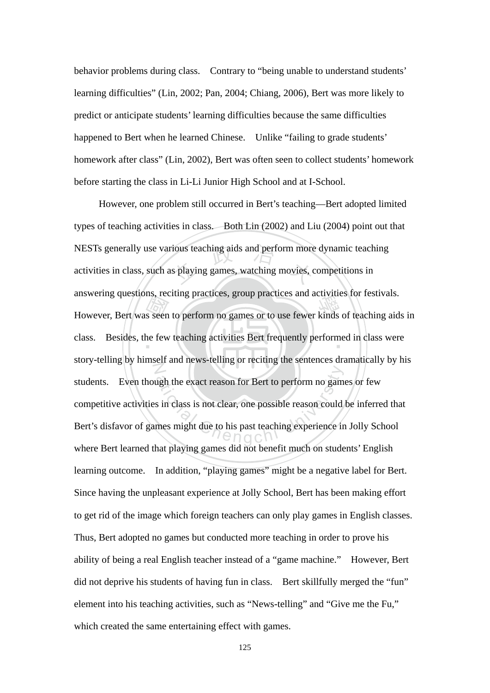behavior problems during class. Contrary to "being unable to understand students' learning difficulties" (Lin, 2002; Pan, 2004; Chiang, 2006), Bert was more likely to predict or anticipate students' learning difficulties because the same difficulties happened to Bert when he learned Chinese. Unlike "failing to grade students' homework after class" (Lin, 2002), Bert was often seen to collect students' homework before starting the class in Li-Li Junior High School and at I-School.

However, Bert was seen to perform no games or to use fewer kinds of teaching aids in class. Besides, the few teaching activities Bert frequently performed in class were NESTs generally use various teaching aids and perform more dynamic teaching<br>activities in class, such as playing games, watching movies, competitions in class. Besides, the few teaching activities Bert frequently performed in class were N ugh the exact reason for Bert to perform no gam<br>s in class is not clear, one possible reason could<br>mes might due to his past teaching experience in However, one problem still occurred in Bert's teaching—Bert adopted limited types of teaching activities in class. Both Lin (2002) and Liu (2004) point out that activities in class, such as playing games, watching movies, competitions in answering questions, reciting practices, group practices and activities for festivals. story-telling by himself and news-telling or reciting the sentences dramatically by his students. Even though the exact reason for Bert to perform no games or few competitive activities in class is not clear, one possible reason could be inferred that Bert's disfavor of games might due to his past teaching experience in Jolly School where Bert learned that playing games did not benefit much on students' English learning outcome. In addition, "playing games" might be a negative label for Bert. Since having the unpleasant experience at Jolly School, Bert has been making effort to get rid of the image which foreign teachers can only play games in English classes. Thus, Bert adopted no games but conducted more teaching in order to prove his ability of being a real English teacher instead of a "game machine." However, Bert did not deprive his students of having fun in class. Bert skillfully merged the "fun" element into his teaching activities, such as "News-telling" and "Give me the Fu," which created the same entertaining effect with games.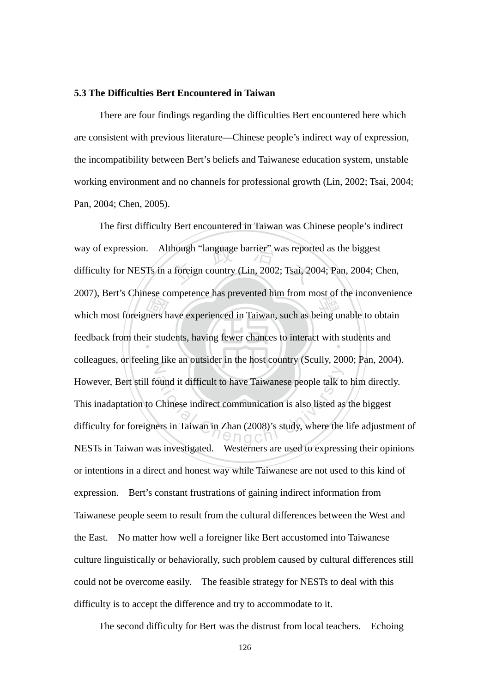#### **5.3 The Difficulties Bert Encountered in Taiwan**

There are four findings regarding the difficulties Bert encountered here which are consistent with previous literature—Chinese people's indirect way of expression, the incompatibility between Bert's beliefs and Taiwanese education system, unstable working environment and no channels for professional growth (Lin, 2002; Tsai, 2004; Pan, 2004; Chen, 2005).

2007), Bert's Chinese competence has prevented that from most of the inconvenier<br>which most foreigners have experienced in Taiwan, such as being unable to obtain<br>feedback from their students, having fewer chances to intera way of expression. Although "language barrier" was reported as the biggest<br>difficulty for NESTs in a foreign country (Lin, 2002; Tsai, 2004; Pan, 2004; C feedback from their students, having fewer chances to interact with students and  $\mathbb{Z}$ ound it difficult to have Taiwanese people talk to<br>Chinese indirect communication is also listed as<br>ers in Taiwan in Zhan (2008)'s study, where the The first difficulty Bert encountered in Taiwan was Chinese people's indirect difficulty for NESTs in a foreign country (Lin, 2002; Tsai, 2004; Pan, 2004; Chen, 2007), Bert's Chinese competence has prevented him from most of the inconvenience colleagues, or feeling like an outsider in the host country (Scully, 2000; Pan, 2004). However, Bert still found it difficult to have Taiwanese people talk to him directly. This inadaptation to Chinese indirect communication is also listed as the biggest difficulty for foreigners in Taiwan in Zhan (2008)'s study, where the life adjustment of NESTs in Taiwan was investigated. Westerners are used to expressing their opinions or intentions in a direct and honest way while Taiwanese are not used to this kind of expression. Bert's constant frustrations of gaining indirect information from Taiwanese people seem to result from the cultural differences between the West and the East. No matter how well a foreigner like Bert accustomed into Taiwanese culture linguistically or behaviorally, such problem caused by cultural differences still could not be overcome easily. The feasible strategy for NESTs to deal with this difficulty is to accept the difference and try to accommodate to it.

The second difficulty for Bert was the distrust from local teachers. Echoing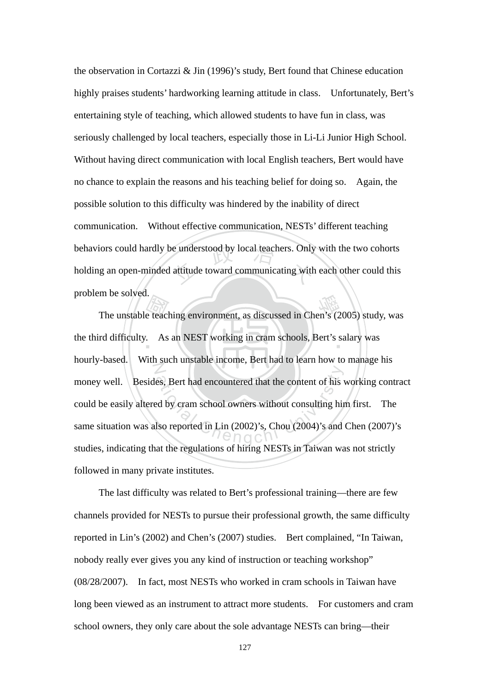behaviors could hardly be understood by local teachers. Only with the two cohorts<br>holding an open-minded attitude toward communicating with each other could this the observation in Cortazzi & Jin (1996)'s study, Bert found that Chinese education highly praises students' hardworking learning attitude in class. Unfortunately, Bert's entertaining style of teaching, which allowed students to have fun in class, was seriously challenged by local teachers, especially those in Li-Li Junior High School. Without having direct communication with local English teachers, Bert would have no chance to explain the reasons and his teaching belief for doing so. Again, the possible solution to this difficulty was hindered by the inability of direct communication. Without effective communication, NESTs' different teaching holding an open-minded attitude toward communicating with each other could this problem be solved.

The unstable teaching environment, as discussed in Chen's (2005) study, was rd difficulty. As an NEST working in cram schools, Bert's salary was the third difficulty. As an NEST working in cram schools, Bert's salary was N es, Bert had encountered that the content of his vertex<br>and by cram school owners without consulting his<br>lso reported in Lin (2002)'s, Chou (2004)'s and hourly-based. With such unstable income, Bert had to learn how to manage his money well. Besides, Bert had encountered that the content of his working contract could be easily altered by cram school owners without consulting him first. The same situation was also reported in Lin (2002)'s, Chou (2004)'s and Chen (2007)'s studies, indicating that the regulations of hiring NESTs in Taiwan was not strictly followed in many private institutes.

The last difficulty was related to Bert's professional training—there are few channels provided for NESTs to pursue their professional growth, the same difficulty reported in Lin's (2002) and Chen's (2007) studies. Bert complained, "In Taiwan, nobody really ever gives you any kind of instruction or teaching workshop" (08/28/2007). In fact, most NESTs who worked in cram schools in Taiwan have long been viewed as an instrument to attract more students. For customers and cram school owners, they only care about the sole advantage NESTs can bring—their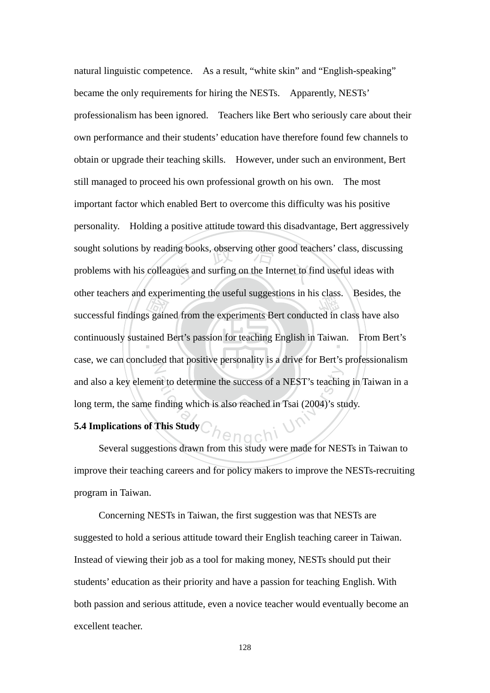successful findings gained from the experiments Bert conducted in class have also<br>continuously sustained Bert's passion for teaching English in Taiwan. From Bert sought solutions by reading books, observing other good teachers' class, discussing<br>problems with his colleagues and surfing on the Internet to find useful ideas with continuously sustained Bert's passion for teaching English in Taiwan. From Bert's Z ational Chengchi university of a NEST's teaching<br>
Chengchi University of the Study<br>
Chengchi University<br>
Chengchi University<br>
Chengchi University<br>
Chengchi University<br>
Chengchi University<br>
Chengchi University<br>
Chengchi Uni natural linguistic competence. As a result, "white skin" and "English-speaking" became the only requirements for hiring the NESTs. Apparently, NESTs' professionalism has been ignored. Teachers like Bert who seriously care about their own performance and their students' education have therefore found few channels to obtain or upgrade their teaching skills. However, under such an environment, Bert still managed to proceed his own professional growth on his own. The most important factor which enabled Bert to overcome this difficulty was his positive personality. Holding a positive attitude toward this disadvantage, Bert aggressively problems with his colleagues and surfing on the Internet to find useful ideas with other teachers and experimenting the useful suggestions in his class. Besides, the case, we can concluded that positive personality is a drive for Bert's professionalism and also a key element to determine the success of a NEST's teaching in Taiwan in a long term, the same finding which is also reached in Tsai (2004)'s study.

### **5.4 Implications of This Study**

 Several suggestions drawn from this study were made for NESTs in Taiwan to improve their teaching careers and for policy makers to improve the NESTs-recruiting program in Taiwan.

 Concerning NESTs in Taiwan, the first suggestion was that NESTs are suggested to hold a serious attitude toward their English teaching career in Taiwan. Instead of viewing their job as a tool for making money, NESTs should put their students' education as their priority and have a passion for teaching English. With both passion and serious attitude, even a novice teacher would eventually become an excellent teacher.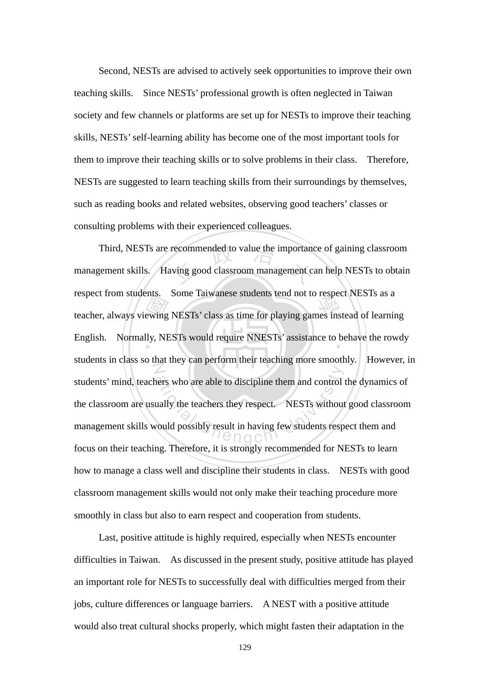Second, NESTs are advised to actively seek opportunities to improve their own teaching skills. Since NESTs' professional growth is often neglected in Taiwan society and few channels or platforms are set up for NESTs to improve their teaching skills, NESTs' self-learning ability has become one of the most important tools for them to improve their teaching skills or to solve problems in their class. Therefore, NESTs are suggested to learn teaching skills from their surroundings by themselves, such as reading books and related websites, observing good teachers' classes or consulting problems with their experienced colleagues.

Exercis Homis Some Talwanese students tend not to respect NESTs as a<br>teacher, always viewing NESTs' class as time for playing games instead of learning<br>English. Normally, NESTs would require NNESTs' assistance to behave th Third, NESTs are recommended to value the importance of gaining classroom<br>gement skills. Having good classroom management can help NESTs to obtain English. Normally, NESTs would require NNESTs' assistance to behave the rowdy N ers who are able to discipline them and control<br>ually the teachers they respect. NESTs without<br>vould possibly result in having few students resp management skills. Having good classroom management can help NESTs to obtain respect from students. Some Taiwanese students tend not to respect NESTs as a students in class so that they can perform their teaching more smoothly. However, in students' mind, teachers who are able to discipline them and control the dynamics of the classroom are usually the teachers they respect. NESTs without good classroom management skills would possibly result in having few students respect them and focus on their teaching. Therefore, it is strongly recommended for NESTs to learn how to manage a class well and discipline their students in class. NESTs with good classroom management skills would not only make their teaching procedure more smoothly in class but also to earn respect and cooperation from students.

Last, positive attitude is highly required, especially when NESTs encounter difficulties in Taiwan. As discussed in the present study, positive attitude has played an important role for NESTs to successfully deal with difficulties merged from their jobs, culture differences or language barriers. A NEST with a positive attitude would also treat cultural shocks properly, which might fasten their adaptation in the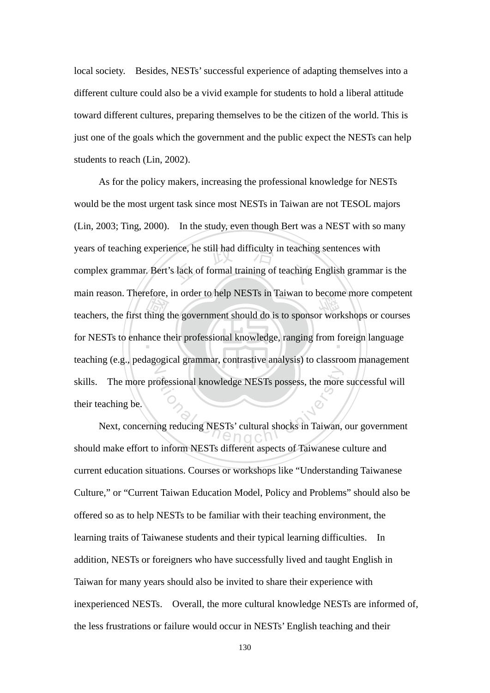local society. Besides, NESTs' successful experience of adapting themselves into a different culture could also be a vivid example for students to hold a liberal attitude toward different cultures, preparing themselves to be the citizen of the world. This is just one of the goals which the government and the public expect the NESTs can help students to reach (Lin, 2002).

teachers, the first thing the government should do is to sponsor workshops or courses<br>for NESTs to enhance their professional knowledge, ranging from foreign language years of teaching experience, he still had difficulty in teaching sentences with<br>complex grammar. Bert's lack of formal training of teaching English grammar for NESTs to enhance their professional knowledge, ranging from foreign language  $\frac{1}{\sqrt{2}}$ ofessional knowledge NESTs possess, the more<br>ing reducing NESTs' cultural shocks in Taiwan, As for the policy makers, increasing the professional knowledge for NESTs would be the most urgent task since most NESTs in Taiwan are not TESOL majors (Lin, 2003; Ting, 2000). In the study, even though Bert was a NEST with so many complex grammar. Bert's lack of formal training of teaching English grammar is the main reason. Therefore, in order to help NESTs in Taiwan to become more competent teaching (e.g., pedagogical grammar, contrastive analysis) to classroom management skills. The more professional knowledge NESTs possess, the more successful will their teaching be.

Next, concerning reducing NESTs' cultural shocks in Taiwan, our government should make effort to inform NESTs different aspects of Taiwanese culture and current education situations. Courses or workshops like "Understanding Taiwanese Culture," or "Current Taiwan Education Model, Policy and Problems" should also be offered so as to help NESTs to be familiar with their teaching environment, the learning traits of Taiwanese students and their typical learning difficulties. In addition, NESTs or foreigners who have successfully lived and taught English in Taiwan for many years should also be invited to share their experience with inexperienced NESTs. Overall, the more cultural knowledge NESTs are informed of, the less frustrations or failure would occur in NESTs' English teaching and their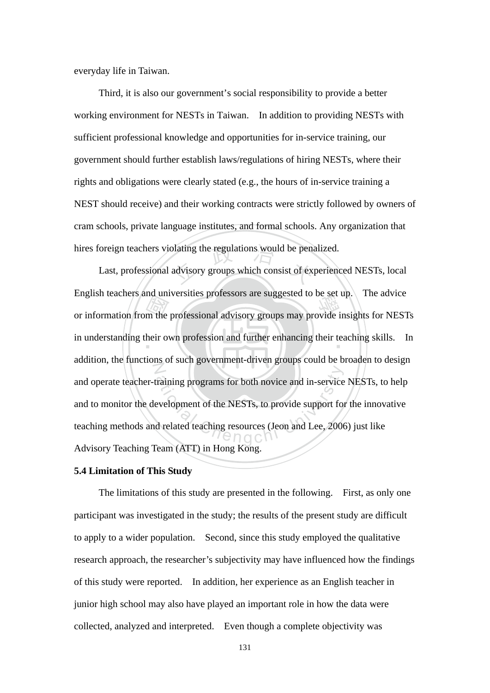everyday life in Taiwan.

Third, it is also our government's social responsibility to provide a better working environment for NESTs in Taiwan. In addition to providing NESTs with sufficient professional knowledge and opportunities for in-service training, our government should further establish laws/regulations of hiring NESTs, where their rights and obligations were clearly stated (e.g., the hours of in-service training a NEST should receive) and their working contracts were strictly followed by owners of cram schools, private language institutes, and formal schools. Any organization that

must<br>m the<br>heir o hires foreign teachers violating the regulations would be penalized.<br>Last, professional advisory groups which consist of experience English teachers and universities professors are suggested to be set up. The advice<br>or information from the professional advisory groups may provide insights for NESTs in understanding their own profession and further enhancing their teaching skills. In N Training programs for both novice and in-service<br>evelopment of the NESTs, to provide support for<br>d related teaching resources (Jeon and Lee, 2006 Last, professional advisory groups which consist of experienced NESTs, local English teachers and universities professors are suggested to be set up. The advice addition, the functions of such government-driven groups could be broaden to design and operate teacher-training programs for both novice and in-service NESTs, to help and to monitor the development of the NESTs, to provide support for the innovative teaching methods and related teaching resources (Jeon and Lee, 2006) just like Advisory Teaching Team (ATT) in Hong Kong.

#### **5.4 Limitation of This Study**

 The limitations of this study are presented in the following. First, as only one participant was investigated in the study; the results of the present study are difficult to apply to a wider population. Second, since this study employed the qualitative research approach, the researcher's subjectivity may have influenced how the findings of this study were reported. In addition, her experience as an English teacher in junior high school may also have played an important role in how the data were collected, analyzed and interpreted. Even though a complete objectivity was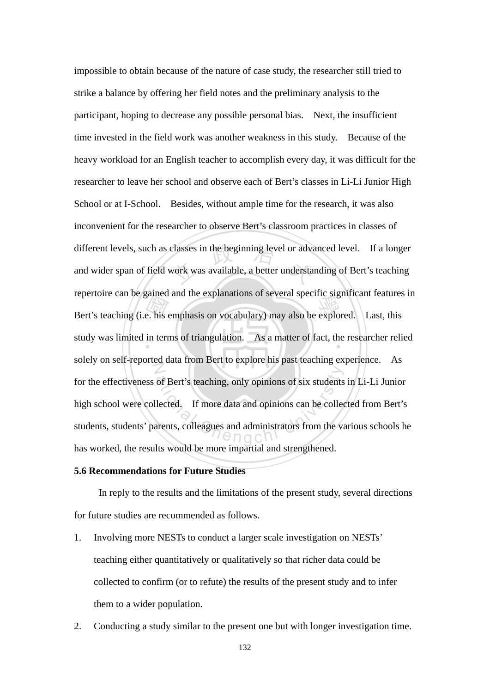Bert's teaching (i.e. his emphasis on vocabulary) may also be explored. Last, this study was limited in terms of triangulation. As a matter of fact, the researcher reli different levels, such as classes in the beginning level or advanced level. If a longer<br>and wider span of field work was available, a better understanding of Bert's teaching study was limited in terms of triangulation. As a matter of fact, the researcher relied N of Bert's teaching, only opinions of six students<br>lected. If more data and opinions can be collected.<br>arents, colleagues and administrators from the va impossible to obtain because of the nature of case study, the researcher still tried to strike a balance by offering her field notes and the preliminary analysis to the participant, hoping to decrease any possible personal bias. Next, the insufficient time invested in the field work was another weakness in this study. Because of the heavy workload for an English teacher to accomplish every day, it was difficult for the researcher to leave her school and observe each of Bert's classes in Li-Li Junior High School or at I-School. Besides, without ample time for the research, it was also inconvenient for the researcher to observe Bert's classroom practices in classes of and wider span of field work was available, a better understanding of Bert's teaching repertoire can be gained and the explanations of several specific significant features in solely on self-reported data from Bert to explore his past teaching experience. As for the effectiveness of Bert's teaching, only opinions of six students in Li-Li Junior high school were collected. If more data and opinions can be collected from Bert's students, students' parents, colleagues and administrators from the various schools he has worked, the results would be more impartial and strengthened.

#### **5.6 Recommendations for Future Studies**

In reply to the results and the limitations of the present study, several directions for future studies are recommended as follows.

- 1. Involving more NESTs to conduct a larger scale investigation on NESTs' teaching either quantitatively or qualitatively so that richer data could be collected to confirm (or to refute) the results of the present study and to infer them to a wider population.
- 2. Conducting a study similar to the present one but with longer investigation time.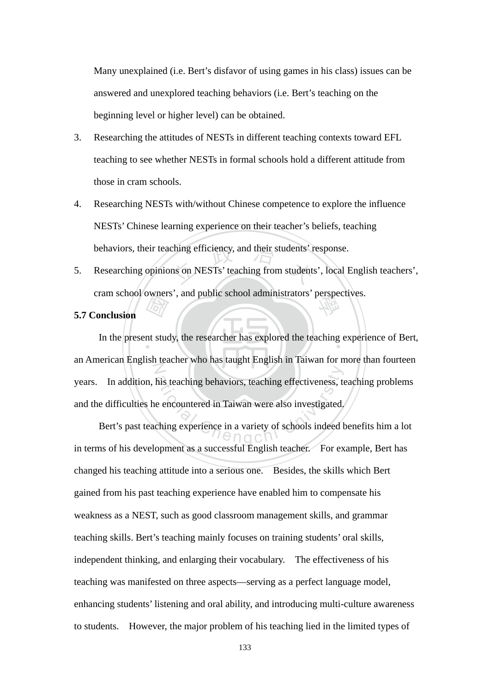Many unexplained (i.e. Bert's disfavor of using games in his class) issues can be answered and unexplored teaching behaviors (i.e. Bert's teaching on the beginning level or higher level) can be obtained.

- 3. Researching the attitudes of NESTs in different teaching contexts toward EFL teaching to see whether NESTs in formal schools hold a different attitude from those in cram schools.
- 4. Researching NESTs with/without Chinese competence to explore the influence NESTs' Chinese learning experience on their teacher's beliefs, teaching behaviors, their teaching efficiency, and their students' response.
- ching efficiency, and their students' r<br>ns on NESTs' teaching from students cram school owners', and public school administrators' perspectives.<br>Conclusion 5. Researching opinions on NESTs' teaching from students', local English teachers',

## **5.7 Conclusion**

and the first of the state of the state of the state of the state of the state of the state of the state of the state of the state of the state of the state of the state of the state of the state of the state of the state In the present study, the researcher has explored the teaching experience of Bert, N his teaching behaviors, teaching effectiveness, to<br>e encountered in Taiwan were also investigated.<br>ching experience in a variety of schools indeed b an American English teacher who has taught English in Taiwan for more than fourteen years. In addition, his teaching behaviors, teaching effectiveness, teaching problems and the difficulties he encountered in Taiwan were also investigated.

Bert's past teaching experience in a variety of schools indeed benefits him a lot in terms of his development as a successful English teacher. For example, Bert has changed his teaching attitude into a serious one. Besides, the skills which Bert gained from his past teaching experience have enabled him to compensate his weakness as a NEST, such as good classroom management skills, and grammar teaching skills. Bert's teaching mainly focuses on training students' oral skills, independent thinking, and enlarging their vocabulary. The effectiveness of his teaching was manifested on three aspects—serving as a perfect language model, enhancing students' listening and oral ability, and introducing multi-culture awareness to students. However, the major problem of his teaching lied in the limited types of